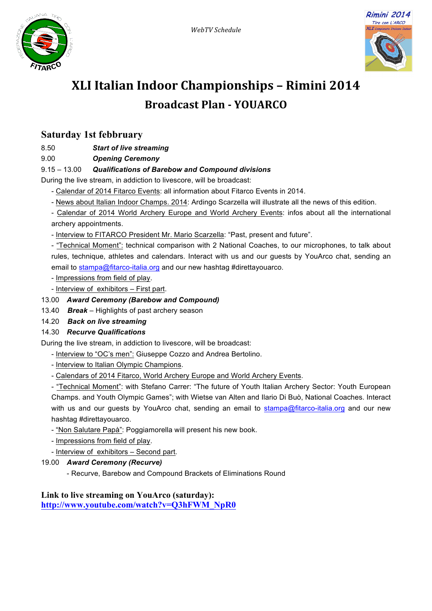



# **XLI Italian Indoor Championships – Rimini 2014 Broadcast Plan - YOUARCO**

# **Saturday 1st febbruary**

8.50 *Start of live streaming*

9.00 *Opening Ceremony*

## 9.15 – 13.00 *Qualifications of Barebow and Compound divisions*

During the live stream, in addiction to livescore, will be broadcast:

- Calendar of 2014 Fitarco Events: all information about Fitarco Events in 2014.
- News about Italian Indoor Champs. 2014: Ardingo Scarzella will illustrate all the news of this edition.

- Calendar of 2014 World Archery Europe and World Archery Events: infos about all the international archery appointments.

- Interview to FITARCO President Mr. Mario Scarzella: "Past, present and future".

- "Technical Moment": technical comparison with 2 National Coaches, to our microphones, to talk about rules, technique, athletes and calendars. Interact with us and our guests by YouArco chat, sending an email to stampa@fitarco-italia.org and our new hashtag #direttayouarco.

- Impressions from field of play.
- Interview of exhibitors First part.

## 13.00 *Award Ceremony (Barebow and Compound)*

- 13.40 *Break –* Highlights of past archery season
- 14.20 *Back on live streaming*

#### 14.30 *Recurve Qualifications*

During the live stream, in addiction to livescore, will be broadcast:

- Interview to "OC's men": Giuseppe Cozzo and Andrea Bertolino.
- Interview to Italian Olympic Champions.
- Calendars of 2014 Fitarco, World Archery Europe and World Archery Events.

- "Technical Moment": with Stefano Carrer: "The future of Youth Italian Archery Sector: Youth European Champs. and Youth Olympic Games"; with Wietse van Alten and Ilario Di Buò, National Coaches. Interact with us and our guests by YouArco chat, sending an email to stampa@fitarco-italia.org and our new hashtag #direttayouarco.

- "Non Salutare Papà": Poggiamorella will present his new book.
- Impressions from field of play.
- Interview of exhibitors Second part.
- 19.00 *Award Ceremony (Recurve)*
	- Recurve, Barebow and Compound Brackets of Eliminations Round

#### **Link to live streaming on YouArco (saturday): http://www.youtube.com/watch?v=Q3hFWM\_NpR0**